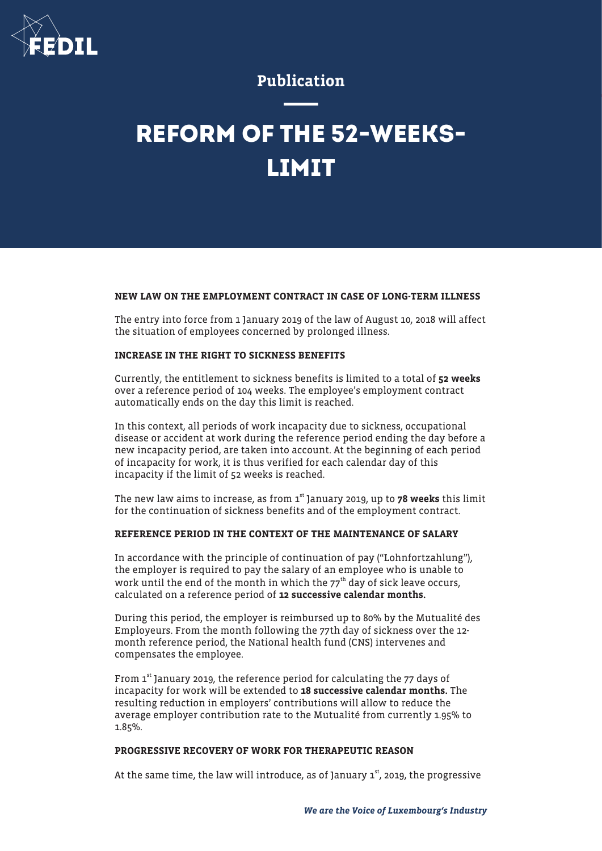

# Publication

# **REFORM OF THE 52-WEEKS-LIMIT**

## NEW LAW ON THE EMPLOYMENT CONTRACT IN CASE OF LONG-TERM ILLNESS

The entry into force from 1 January 2019 of the law of August 10, 2018 will affect the situation of employees concerned by prolonged illness.

#### INCREASE IN THE RIGHT TO SICKNESS BENEFITS

Currently, the entitlement to sickness benefits is limited to a total of 52 weeks over a reference period of 104 weeks. The employee's employment contract automatically ends on the day this limit is reached.

In this context, all periods of work incapacity due to sickness, occupational disease or accident at work during the reference period ending the day before a new incapacity period, are taken into account. At the beginning of each period of incapacity for work, it is thus verified for each calendar day of this incapacity if the limit of 52 weeks is reached.

The new law aims to increase, as from  $1<sup>st</sup>$  January 2019, up to 78 weeks this limit for the continuation of sickness benefits and of the employment contract.

#### REFERENCE PERIOD IN THE CONTEXT OF THE MAINTENANCE OF SALARY

In accordance with the principle of continuation of pay ("Lohnfortzahlung"), the employer is required to pay the salary of an employee who is unable to work until the end of the month in which the  $77<sup>th</sup>$  day of sick leave occurs, calculated on a reference period of 12 successive calendar months.

During this period, the employer is reimbursed up to 80% by the Mutualité des Employeurs. From the month following the 77th day of sickness over the 12 month reference period, the National health fund (CNS) intervenes and compensates the employee.

From  $1<sup>st</sup>$  January 2019, the reference period for calculating the 77 days of incapacity for work will be extended to 18 successive calendar months. The resulting reduction in employers' contributions will allow to reduce the average employer contribution rate to the Mutualité from currently 1.95% to 1.85%.

## PROGRESSIVE RECOVERY OF WORK FOR THERAPEUTIC REASON

At the same time, the law will introduce, as of January  $1<sup>st</sup>$ , 2019, the progressive